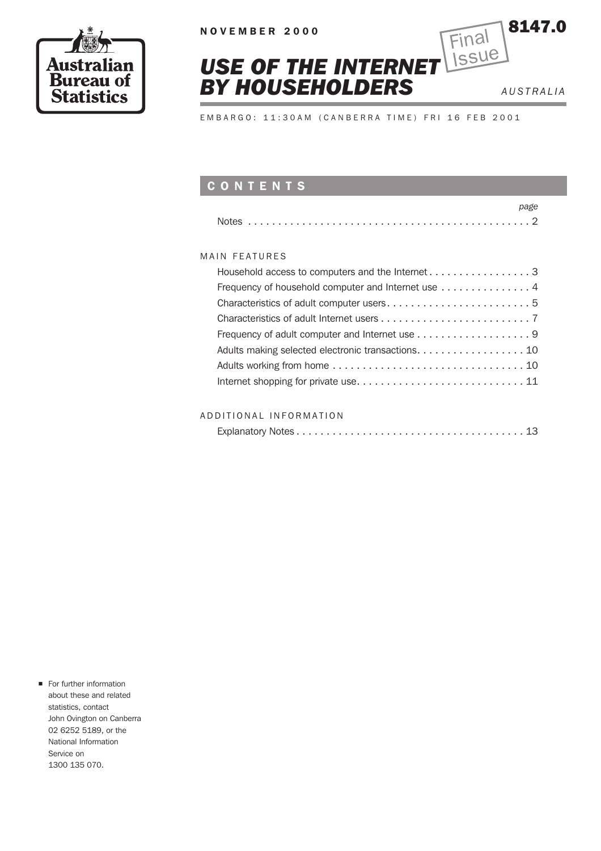



EMBARGO: 11:30AM (CANBERRA TIME) FRI 16 FEB 2001

# CONTENTS

| page                                               |
|----------------------------------------------------|
|                                                    |
|                                                    |
| MAIN FFATURES                                      |
|                                                    |
| Frequency of household computer and Internet use 4 |
|                                                    |
|                                                    |
| Frequency of adult computer and Internet use 9     |
| Adults making selected electronic transactions. 10 |
|                                                    |
|                                                    |

## ADDITIONAL INFORMATION

|--|

**n** For further information about these and related statistics, contact John Ovington on Canberra 02 6252 5189, or the National Information Service on 1300 135 070.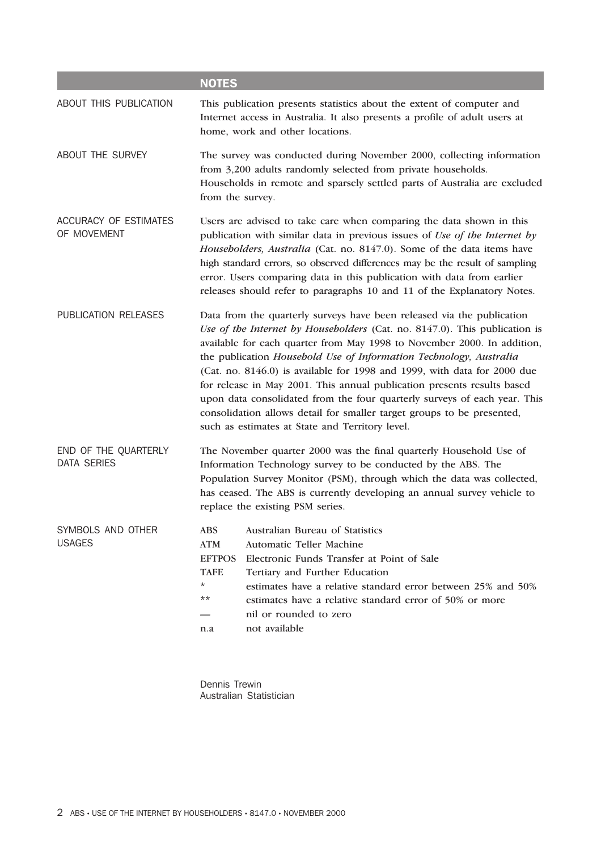|                                             | <b>NOTES</b>                                                                                                                                                                                                                                                                                                                                                                                                                                                                                                                                                                                                                                                           |  |  |
|---------------------------------------------|------------------------------------------------------------------------------------------------------------------------------------------------------------------------------------------------------------------------------------------------------------------------------------------------------------------------------------------------------------------------------------------------------------------------------------------------------------------------------------------------------------------------------------------------------------------------------------------------------------------------------------------------------------------------|--|--|
| ABOUT THIS PUBLICATION                      | This publication presents statistics about the extent of computer and<br>Internet access in Australia. It also presents a profile of adult users at<br>home, work and other locations.                                                                                                                                                                                                                                                                                                                                                                                                                                                                                 |  |  |
| ABOUT THE SURVEY                            | The survey was conducted during November 2000, collecting information<br>from 3,200 adults randomly selected from private households.<br>Households in remote and sparsely settled parts of Australia are excluded<br>from the survey.                                                                                                                                                                                                                                                                                                                                                                                                                                 |  |  |
| <b>ACCURACY OF ESTIMATES</b><br>OF MOVEMENT | Users are advised to take care when comparing the data shown in this<br>publication with similar data in previous issues of Use of the Internet by<br>Householders, Australia (Cat. no. 8147.0). Some of the data items have<br>high standard errors, so observed differences may be the result of sampling<br>error. Users comparing data in this publication with data from earlier<br>releases should refer to paragraphs 10 and 11 of the Explanatory Notes.                                                                                                                                                                                                       |  |  |
| PUBLICATION RELEASES                        | Data from the quarterly surveys have been released via the publication<br>Use of the Internet by Householders (Cat. no. 8147.0). This publication is<br>available for each quarter from May 1998 to November 2000. In addition,<br>the publication Household Use of Information Technology, Australia<br>(Cat. no. 8146.0) is available for 1998 and 1999, with data for 2000 due<br>for release in May 2001. This annual publication presents results based<br>upon data consolidated from the four quarterly surveys of each year. This<br>consolidation allows detail for smaller target groups to be presented,<br>such as estimates at State and Territory level. |  |  |
| END OF THE QUARTERLY<br><b>DATA SERIES</b>  | The November quarter 2000 was the final quarterly Household Use of<br>Information Technology survey to be conducted by the ABS. The<br>Population Survey Monitor (PSM), through which the data was collected,<br>has ceased. The ABS is currently developing an annual survey vehicle to<br>replace the existing PSM series.                                                                                                                                                                                                                                                                                                                                           |  |  |
| SYMBOLS AND OTHER<br><b>USAGES</b>          | ABS Australian Bureau of Statistics<br><b>ATM</b><br><b>Automatic Teller Machine</b><br><b>EFTPOS</b><br>Electronic Funds Transfer at Point of Sale<br><b>TAFE</b><br>Tertiary and Further Education<br>$^\star$<br>estimates have a relative standard error between 25% and 50%<br>$***$<br>estimates have a relative standard error of 50% or more<br>nil or rounded to zero<br>not available<br>n.a                                                                                                                                                                                                                                                                 |  |  |

Dennis Trewin Australian Statistician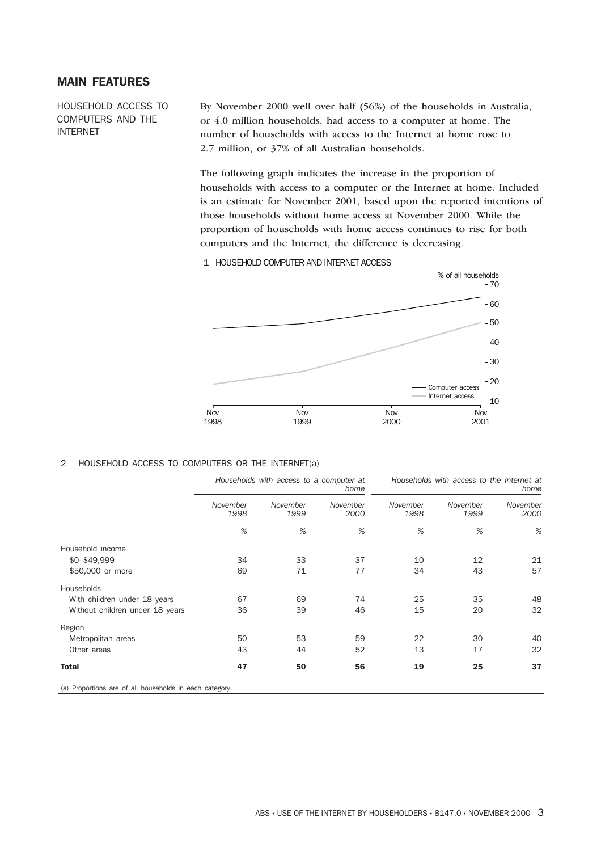## MAIN FEATURES

HOUSEHOLD ACCESS TO COMPUTERS AND THE INTERNET

By November 2000 well over half (56%) of the households in Australia, or 4.0 million households, had access to a computer at home. The number of households with access to the Internet at home rose to 2.7 million, or 37% of all Australian households.

The following graph indicates the increase in the proportion of households with access to a computer or the Internet at home. Included is an estimate for November 2001, based upon the reported intentions of those households without home access at November 2000. While the proportion of households with home access continues to rise for both computers and the Internet, the difference is decreasing.

1 HOUSEHOLD COMPUTER AND INTERNET ACCESS



#### 2 HOUSEHOLD ACCESS TO COMPUTERS OR THE INTERNET(a)

|                                                         | Households with access to a computer at<br>home |                  |                  | Households with access to the Internet at | home             |                  |
|---------------------------------------------------------|-------------------------------------------------|------------------|------------------|-------------------------------------------|------------------|------------------|
|                                                         | November<br>1998                                | November<br>1999 | November<br>2000 | November<br>1998                          | November<br>1999 | November<br>2000 |
|                                                         | $\%$                                            | %                | %                | %                                         | %                | %                |
| Household income                                        |                                                 |                  |                  |                                           |                  |                  |
| \$0-\$49,999                                            | 34                                              | 33               | 37               | 10                                        | 12               | 21               |
| \$50,000 or more                                        | 69                                              | 71               | 77               | 34                                        | 43               | 57               |
| Households                                              |                                                 |                  |                  |                                           |                  |                  |
| With children under 18 years                            | 67                                              | 69               | 74               | 25                                        | 35               | 48               |
| Without children under 18 years                         | 36                                              | 39               | 46               | 15                                        | 20               | 32               |
| Region                                                  |                                                 |                  |                  |                                           |                  |                  |
| Metropolitan areas                                      | 50                                              | 53               | 59               | 22                                        | 30               | 40               |
| Other areas                                             | 43                                              | 44               | 52               | 13                                        | 17               | 32               |
| <b>Total</b>                                            | 47                                              | 50               | 56               | 19                                        | 25               | 37               |
| (a) Proportions are of all households in each category. |                                                 |                  |                  |                                           |                  |                  |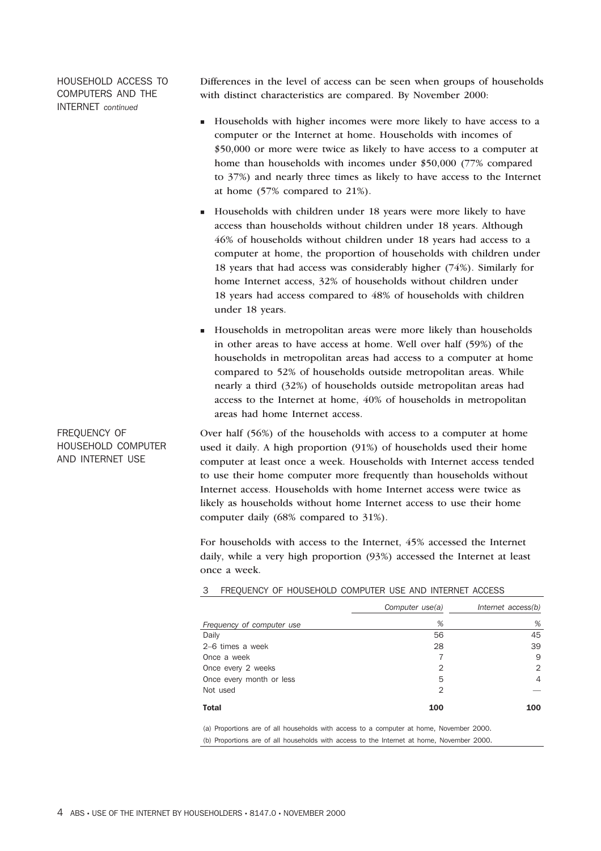HOUSEHOLD ACCESS TO COMPUTERS AND THE INTERNET *continued*

Differences in the level of access can be seen when groups of households with distinct characteristics are compared. By November 2000:

- <sup>n</sup> Households with higher incomes were more likely to have access to a computer or the Internet at home. Households with incomes of \$50,000 or more were twice as likely to have access to a computer at home than households with incomes under \$50,000 (77% compared to 37%) and nearly three times as likely to have access to the Internet at home (57% compared to 21%).
- <sup>n</sup> Households with children under 18 years were more likely to have access than households without children under 18 years. Although 46% of households without children under 18 years had access to a computer at home, the proportion of households with children under 18 years that had access was considerably higher (74%). Similarly for home Internet access, 32% of households without children under 18 years had access compared to 48% of households with children under 18 years.
- <sup>n</sup> Households in metropolitan areas were more likely than households in other areas to have access at home. Well over half (59%) of the households in metropolitan areas had access to a computer at home compared to 52% of households outside metropolitan areas. While nearly a third (32%) of households outside metropolitan areas had access to the Internet at home, 40% of households in metropolitan areas had home Internet access.

Over half (56%) of the households with access to a computer at home used it daily. A high proportion (91%) of households used their home computer at least once a week. Households with Internet access tended to use their home computer more frequently than households without Internet access. Households with home Internet access were twice as likely as households without home Internet access to use their home computer daily (68% compared to 31%).

For households with access to the Internet, 45% accessed the Internet daily, while a very high proportion (93%) accessed the Internet at least once a week.

|                                                                                         | Computer use(a) | Internet access(b) |
|-----------------------------------------------------------------------------------------|-----------------|--------------------|
| Frequency of computer use                                                               | %               | %                  |
| Daily                                                                                   | 56              | 45                 |
| 2-6 times a week                                                                        | 28              | 39                 |
| Once a week                                                                             | 7               | 9                  |
| Once every 2 weeks                                                                      | 2               | 2                  |
| Once every month or less                                                                | 5               | 4                  |
| Not used                                                                                | 2               |                    |
| Total                                                                                   | 100             | 100                |
| (a) Proportions are of all households with access to a computer at home, November 2000. |                 |                    |

3 FREQUENCY OF HOUSEHOLD COMPUTER USE AND INTERNET ACCESS

(b) Proportions are of all households with access to the Internet at home, November 2000.

FREQUENCY OF HOUSEHOLD COMPUTER AND INTERNET USE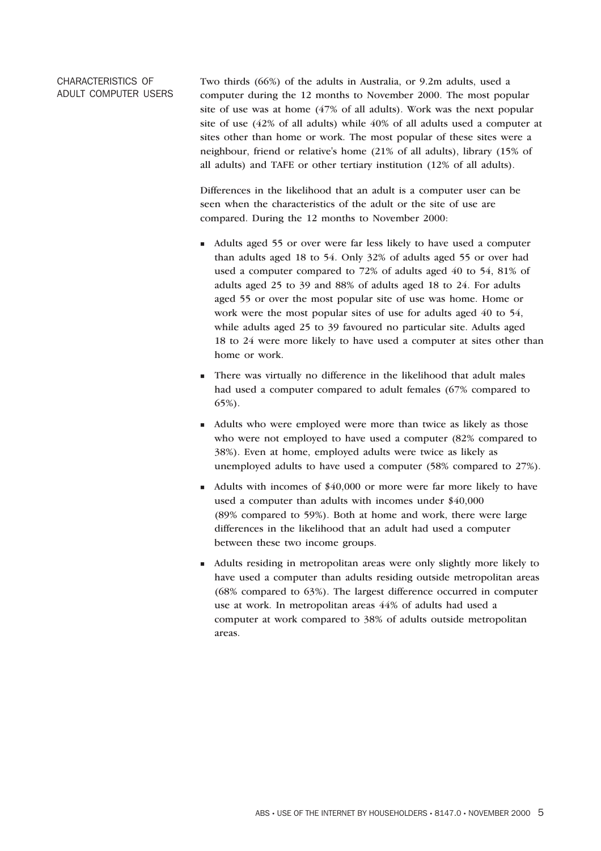## CHARACTERISTICS OF ADULT COMPUTER USERS

Two thirds (66%) of the adults in Australia, or 9.2m adults, used a computer during the 12 months to November 2000. The most popular site of use was at home (47% of all adults). Work was the next popular site of use (42% of all adults) while 40% of all adults used a computer at sites other than home or work. The most popular of these sites were a neighbour, friend or relative's home (21% of all adults), library (15% of all adults) and TAFE or other tertiary institution (12% of all adults).

Differences in the likelihood that an adult is a computer user can be seen when the characteristics of the adult or the site of use are compared. During the 12 months to November 2000:

- <sup>n</sup> Adults aged 55 or over were far less likely to have used a computer than adults aged 18 to 54. Only 32% of adults aged 55 or over had used a computer compared to 72% of adults aged 40 to 54, 81% of adults aged 25 to 39 and 88% of adults aged 18 to 24. For adults aged 55 or over the most popular site of use was home. Home or work were the most popular sites of use for adults aged 40 to 54, while adults aged 25 to 39 favoured no particular site. Adults aged 18 to 24 were more likely to have used a computer at sites other than home or work.
- <sup>n</sup> There was virtually no difference in the likelihood that adult males had used a computer compared to adult females (67% compared to 65%).
- <sup>n</sup> Adults who were employed were more than twice as likely as those who were not employed to have used a computer (82% compared to 38%). Even at home, employed adults were twice as likely as unemployed adults to have used a computer (58% compared to 27%).
- <sup>n</sup> Adults with incomes of \$40,000 or more were far more likely to have used a computer than adults with incomes under \$40,000 (89% compared to 59%). Both at home and work, there were large differences in the likelihood that an adult had used a computer between these two income groups.
- <sup>n</sup> Adults residing in metropolitan areas were only slightly more likely to have used a computer than adults residing outside metropolitan areas (68% compared to 63%). The largest difference occurred in computer use at work. In metropolitan areas 44% of adults had used a computer at work compared to 38% of adults outside metropolitan areas.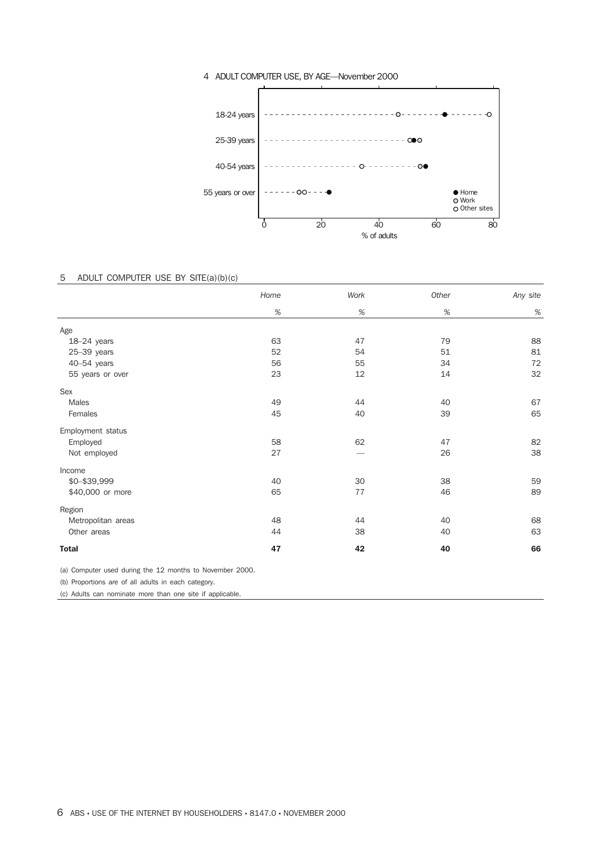

#### 4 ADULT COMPUTER USE, BY AGE—November 2000

## 5 ADULT COMPUTER USE BY SITE(a)(b)(c)

|                    | Home | Work | Other | Any site |
|--------------------|------|------|-------|----------|
|                    | %    | $\%$ | $\%$  | $\%$     |
| Age                |      |      |       |          |
| 18-24 years        | 63   | 47   | 79    | 88       |
| $25 - 39$ years    | 52   | 54   | 51    | 81       |
| 40-54 years        | 56   | 55   | 34    | 72       |
| 55 years or over   | 23   | 12   | 14    | 32       |
| Sex                |      |      |       |          |
| Males              | 49   | 44   | 40    | 67       |
| Females            | 45   | 40   | 39    | 65       |
| Employment status  |      |      |       |          |
| Employed           | 58   | 62   | 47    | 82       |
| Not employed       | 27   |      | 26    | 38       |
| Income             |      |      |       |          |
| \$0-\$39,999       | 40   | 30   | 38    | 59       |
| \$40,000 or more   | 65   | 77   | 46    | 89       |
| Region             |      |      |       |          |
| Metropolitan areas | 48   | 44   | 40    | 68       |
| Other areas        | 44   | 38   | 40    | 63       |
| <b>Total</b>       | 47   | 42   | 40    | 66       |

(a) Computer used during the 12 months to November 2000.

(b) Proportions are of all adults in each category.

(c) Adults can nominate more than one site if applicable.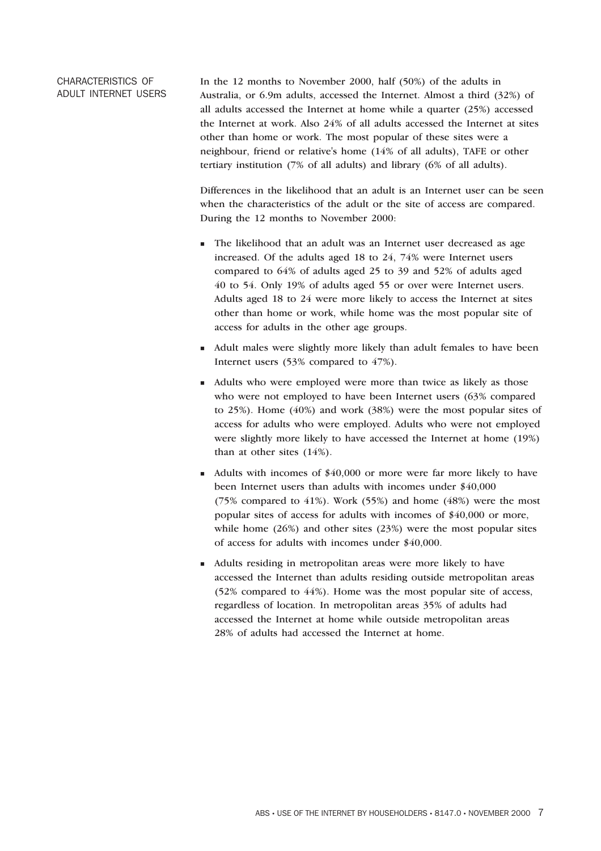## CHARACTERISTICS OF ADULT INTERNET USERS

In the 12 months to November 2000, half (50%) of the adults in Australia, or 6.9m adults, accessed the Internet. Almost a third (32%) of all adults accessed the Internet at home while a quarter (25%) accessed the Internet at work. Also 24% of all adults accessed the Internet at sites other than home or work. The most popular of these sites were a neighbour, friend or relative's home (14% of all adults), TAFE or other tertiary institution (7% of all adults) and library (6% of all adults).

Differences in the likelihood that an adult is an Internet user can be seen when the characteristics of the adult or the site of access are compared. During the 12 months to November 2000:

- <sup>n</sup> The likelihood that an adult was an Internet user decreased as age increased. Of the adults aged 18 to 24, 74% were Internet users compared to 64% of adults aged 25 to 39 and 52% of adults aged 40 to 54. Only 19% of adults aged 55 or over were Internet users. Adults aged 18 to 24 were more likely to access the Internet at sites other than home or work, while home was the most popular site of access for adults in the other age groups.
- <sup>n</sup> Adult males were slightly more likely than adult females to have been Internet users (53% compared to 47%).
- <sup>n</sup> Adults who were employed were more than twice as likely as those who were not employed to have been Internet users (63% compared to 25%). Home (40%) and work (38%) were the most popular sites of access for adults who were employed. Adults who were not employed were slightly more likely to have accessed the Internet at home (19%) than at other sites (14%).
- $\blacksquare$  Adults with incomes of \$40,000 or more were far more likely to have been Internet users than adults with incomes under \$40,000 (75% compared to 41%). Work (55%) and home (48%) were the most popular sites of access for adults with incomes of \$40,000 or more, while home (26%) and other sites (23%) were the most popular sites of access for adults with incomes under \$40,000.
- <sup>n</sup> Adults residing in metropolitan areas were more likely to have accessed the Internet than adults residing outside metropolitan areas (52% compared to 44%). Home was the most popular site of access, regardless of location. In metropolitan areas 35% of adults had accessed the Internet at home while outside metropolitan areas 28% of adults had accessed the Internet at home.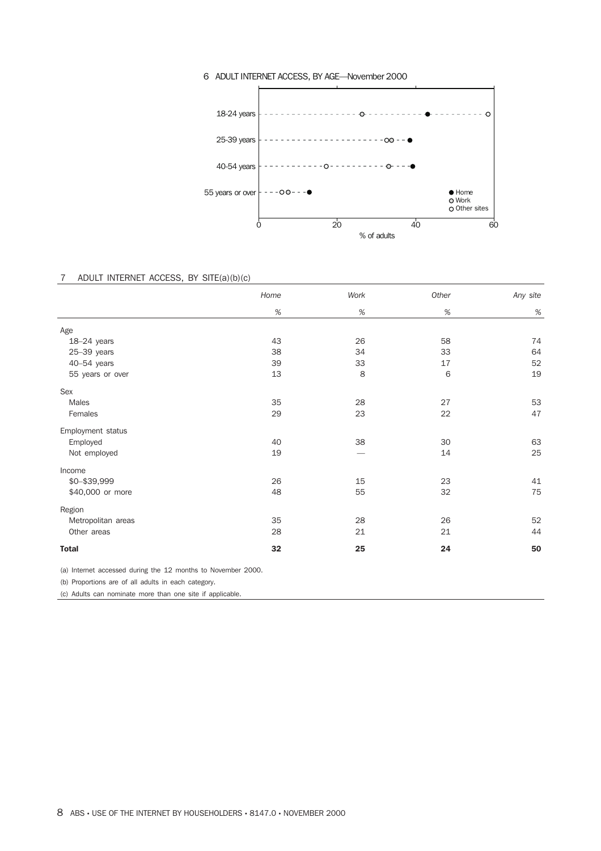

#### 6 ADULT INTERNET ACCESS, BY AGE—November 2000

#### 7 ADULT INTERNET ACCESS, BY SITE(a)(b)(c)

|                    | Home | Work | Other | Any site |
|--------------------|------|------|-------|----------|
|                    | $\%$ | $\%$ | $\%$  | $\%$     |
| Age                |      |      |       |          |
| $18-24$ years      | 43   | 26   | 58    | 74       |
| $25 - 39$ years    | 38   | 34   | 33    | 64       |
| 40-54 years        | 39   | 33   | 17    | 52       |
| 55 years or over   | 13   | 8    | 6     | 19       |
| Sex                |      |      |       |          |
| Males              | 35   | 28   | 27    | 53       |
| Females            | 29   | 23   | 22    | 47       |
| Employment status  |      |      |       |          |
| Employed           | 40   | 38   | 30    | 63       |
| Not employed       | 19   |      | 14    | 25       |
| Income             |      |      |       |          |
| \$0-\$39,999       | 26   | 15   | 23    | 41       |
| \$40,000 or more   | 48   | 55   | 32    | 75       |
| Region             |      |      |       |          |
| Metropolitan areas | 35   | 28   | 26    | 52       |
| Other areas        | 28   | 21   | 21    | 44       |
| <b>Total</b>       | 32   | 25   | 24    | 50       |
|                    |      |      |       |          |

(a) Internet accessed during the 12 months to November 2000.

(b) Proportions are of all adults in each category.

(c) Adults can nominate more than one site if applicable.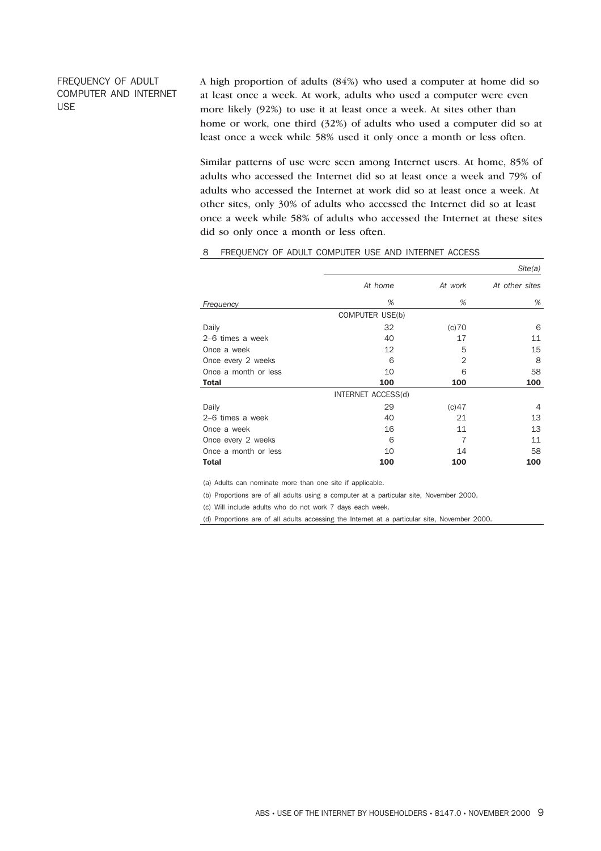## FREQUENCY OF ADULT COMPUTER AND INTERNET USE

A high proportion of adults (84%) who used a computer at home did so at least once a week. At work, adults who used a computer were even more likely (92%) to use it at least once a week. At sites other than home or work, one third (32%) of adults who used a computer did so at least once a week while 58% used it only once a month or less often.

Similar patterns of use were seen among Internet users. At home, 85% of adults who accessed the Internet did so at least once a week and 79% of adults who accessed the Internet at work did so at least once a week. At other sites, only 30% of adults who accessed the Internet did so at least once a week while 58% of adults who accessed the Internet at these sites did so only once a month or less often.

|                      |                    |         | Site(a)        |
|----------------------|--------------------|---------|----------------|
|                      | At home            | At work | At other sites |
| Frequency            | %                  | %       | %              |
|                      | COMPUTER USE(b)    |         |                |
| Daily                | 32                 | (c)70   | 6              |
| 2–6 times a week     | 40                 | 17      | 11             |
| Once a week          | 12                 | 5       | 15             |
| Once every 2 weeks   | 6                  | 2       | 8              |
| Once a month or less | 10                 | 6       | 58             |
| <b>Total</b>         | 100                | 100     | 100            |
|                      | INTERNET ACCESS(d) |         |                |
| Daily                | 29                 | (c)47   | 4              |
| 2–6 times a week     | 40                 | 21      | 13             |
| Once a week          | 16                 | 11      | 13             |
| Once every 2 weeks   | 6                  | 7       | 11             |
| Once a month or less | 10                 | 14      | 58             |
| <b>Total</b>         | 100                | 100     | 100            |

### 8 FREQUENCY OF ADULT COMPUTER USE AND INTERNET ACCESS

(a) Adults can nominate more than one site if applicable.

(b) Proportions are of all adults using a computer at a particular site, November 2000.

(c) Will include adults who do not work 7 days each week.

(d) Proportions are of all adults accessing the Internet at a particular site, November 2000.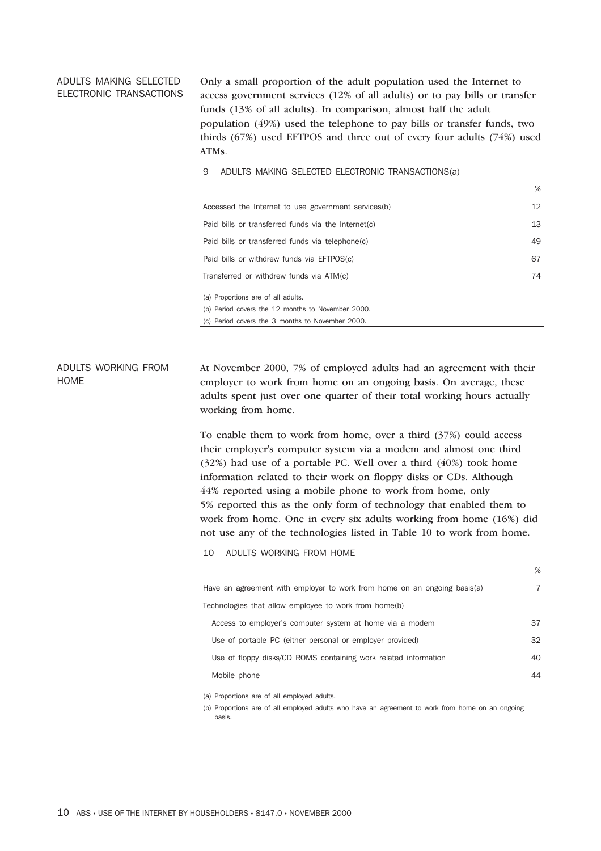#### ADULTS MAKING SELECTED ELECTRONIC TRANSACTIONS

Only a small proportion of the adult population used the Internet to access government services (12% of all adults) or to pay bills or transfer funds (13% of all adults). In comparison, almost half the adult population (49%) used the telephone to pay bills or transfer funds, two thirds (67%) used EFTPOS and three out of every four adults (74%) used ATMs.

#### 9 ADULTS MAKING SELECTED ELECTRONIC TRANSACTIONS(a)

|                                                     | %  |
|-----------------------------------------------------|----|
| Accessed the Internet to use government services(b) | 12 |
| Paid bills or transferred funds via the Internet(c) | 13 |
| Paid bills or transferred funds via telephone(c)    | 49 |
| Paid bills or withdrew funds via EFTPOS(c)          | 67 |
| Transferred or withdrew funds via ATM(c)            | 74 |
| (a) Proportions are of all adults.                  |    |
| (b) Period covers the 12 months to November 2000.   |    |
| (c) Period covers the 3 months to November 2000.    |    |

ADULTS WORKING FROM HOME At November 2000, 7% of employed adults had an agreement with their employer to work from home on an ongoing basis. On average, these adults spent just over one quarter of their total working hours actually working from home.

> To enable them to work from home, over a third (37%) could access their employer's computer system via a modem and almost one third (32%) had use of a portable PC. Well over a third (40%) took home information related to their work on floppy disks or CDs. Although 44% reported using a mobile phone to work from home, only 5% reported this as the only form of technology that enabled them to work from home. One in every six adults working from home (16%) did not use any of the technologies listed in Table 10 to work from home.

10 ADULTS WORKING FROM HOME

|                                                                          | 70 |
|--------------------------------------------------------------------------|----|
| Have an agreement with employer to work from home on an ongoing basis(a) | 7  |
| Technologies that allow employee to work from home(b)                    |    |
| Access to employer's computer system at home via a modem                 | 37 |
| Use of portable PC (either personal or employer provided)                | 32 |
| Use of floppy disks/CD ROMS containing work related information          | 40 |
| Mobile phone                                                             | 44 |
| (a) Proportions are of all employed adults.                              |    |

*%*

(b) Proportions are of all employed adults who have an agreement to work from home on an ongoing basis.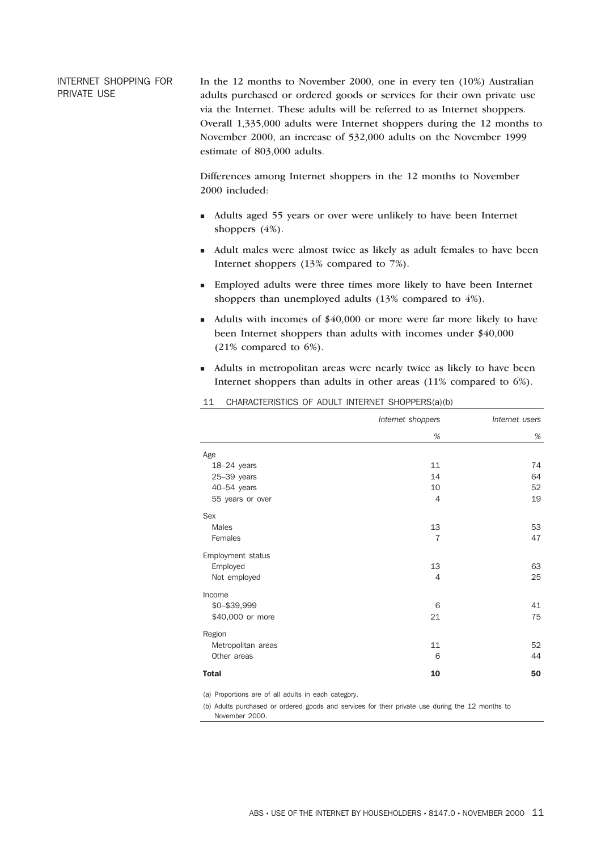INTERNET SHOPPING FOR PRIVATE USE

In the 12 months to November 2000, one in every ten (10%) Australian adults purchased or ordered goods or services for their own private use via the Internet. These adults will be referred to as Internet shoppers. Overall 1,335,000 adults were Internet shoppers during the 12 months to November 2000, an increase of 532,000 adults on the November 1999 estimate of 803,000 adults.

Differences among Internet shoppers in the 12 months to November 2000 included:

- <sup>n</sup> Adults aged 55 years or over were unlikely to have been Internet shoppers (4%).
- <sup>n</sup> Adult males were almost twice as likely as adult females to have been Internet shoppers (13% compared to 7%).
- <sup>n</sup> Employed adults were three times more likely to have been Internet shoppers than unemployed adults (13% compared to 4%).
- Adults with incomes of  $$40,000$  or more were far more likely to have been Internet shoppers than adults with incomes under \$40,000 (21% compared to 6%).
- <sup>n</sup> Adults in metropolitan areas were nearly twice as likely to have been Internet shoppers than adults in other areas (11% compared to 6%).

|                    | Internet shoppers | Internet users |
|--------------------|-------------------|----------------|
|                    | $\%$              | $\%$           |
| Age                |                   |                |
| $18-24$ years      | 11                | 74             |
| $25-39$ years      | 14                | 64             |
| 40-54 years        | 10                | 52             |
| 55 years or over   | 4                 | 19             |
| Sex                |                   |                |
| Males              | 13                | 53             |
| Females            | $\overline{7}$    | 47             |
| Employment status  |                   |                |
| Employed           | 13                | 63             |
| Not employed       | $\overline{4}$    | 25             |
| Income             |                   |                |
| \$0-\$39,999       | 6                 | 41             |
| \$40,000 or more   | 21                | 75             |
| Region             |                   |                |
| Metropolitan areas | 11                | 52             |
| Other areas        | 6                 | 44             |
| <b>Total</b>       | 10                | 50             |

#### 11 CHARACTERISTICS OF ADULT INTERNET SHOPPERS(a)(b)

(a) Proportions are of all adults in each category.

(b) Adults purchased or ordered goods and services for their private use during the 12 months to November 2000.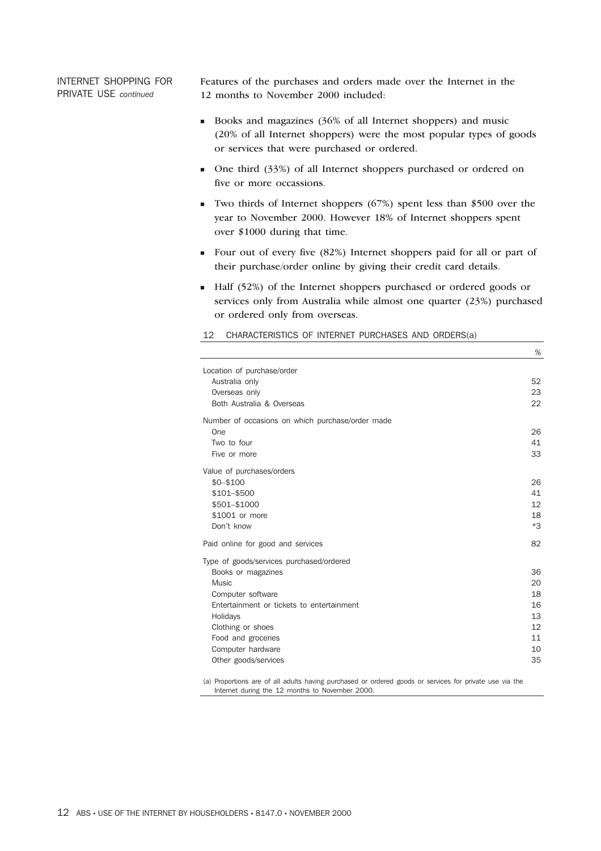INTERNET SHOPPING FOR PRIVATE USE *continued*

Features of the purchases and orders made over the Internet in the 12 months to November 2000 included:

- <sup>n</sup> Books and magazines (36% of all Internet shoppers) and music (20% of all Internet shoppers) were the most popular types of goods or services that were purchased or ordered.
- <sup>n</sup> One third (33%) of all Internet shoppers purchased or ordered on five or more occassions.
- $\blacksquare$  Two thirds of Internet shoppers (67%) spent less than \$500 over the year to November 2000. However 18% of Internet shoppers spent over \$1000 during that time.
- <sup>n</sup> Four out of every five (82%) Internet shoppers paid for all or part of their purchase/order online by giving their credit card details.
- <sup>n</sup> Half (52%) of the Internet shoppers purchased or ordered goods or services only from Australia while almost one quarter (23%) purchased or ordered only from overseas.

*%*

| Location of purchase/order                       |                   |
|--------------------------------------------------|-------------------|
| Australia only                                   | 52                |
| Overseas only                                    | 23                |
| Both Australia & Overseas                        | 22                |
| Number of occasions on which purchase/order made |                   |
| One                                              | 26                |
| Two to four                                      | 41                |
| Five or more                                     | 33                |
| Value of purchases/orders                        |                   |
| $$0 - $100$                                      | 26                |
| \$101-\$500                                      | 41                |
| \$501-\$1000                                     | $12 \overline{ }$ |
| \$1001 or more                                   | 18                |
| Don't know                                       | $*3$              |
| Paid online for good and services                | 82                |
| Type of goods/services purchased/ordered         |                   |
| Books or magazines                               | 36                |
| Music                                            | 20                |
| Computer software                                | 18                |
| Entertainment or tickets to entertainment        | 16                |
| Holidays                                         | 13                |
| Clothing or shoes                                | 12                |
| Food and groceries                               | 11                |
| Computer hardware                                | 10                |
| Other goods/services                             | 35                |
|                                                  |                   |

12 CHARACTERISTICS OF INTERNET PURCHASES AND ORDERS(a)

(a) Proportions are of all adults having purchased or ordered goods or services for private use via the Internet during the 12 months to November 2000.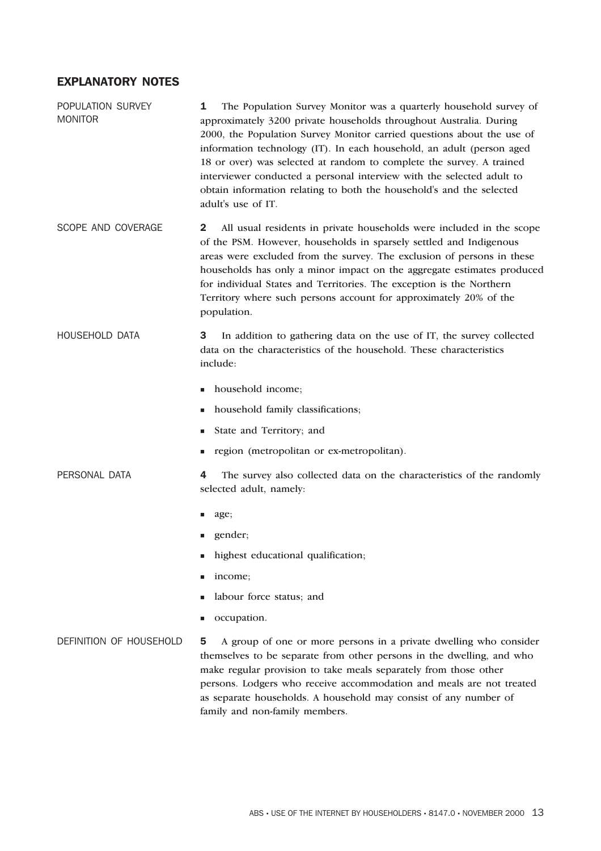## EXPLANATORY NOTES

POPULATION SURVEY MONITOR 1 The Population Survey Monitor was a quarterly household survey of approximately 3200 private households throughout Australia. During 2000, the Population Survey Monitor carried questions about the use of information technology (IT). In each household, an adult (person aged 18 or over) was selected at random to complete the survey. A trained interviewer conducted a personal interview with the selected adult to obtain information relating to both the household's and the selected adult's use of IT.

SCOPE AND COVERAGE 2 All usual residents in private households were included in the scope of the PSM. However, households in sparsely settled and Indigenous areas were excluded from the survey. The exclusion of persons in these households has only a minor impact on the aggregate estimates produced for individual States and Territories. The exception is the Northern Territory where such persons account for approximately 20% of the population.

HOUSEHOLD DATA 3 In addition to gathering data on the use of IT, the survey collected data on the characteristics of the household. These characteristics include:

- n household income;
- n household family classifications;
- State and Territory; and
- <sup>n</sup> region (metropolitan or ex-metropolitan).
- PERSONAL DATA **4** The survey also collected data on the characteristics of the randomly selected adult, namely:
	- n age;
	- gender;
	- highest educational qualification;
	- income;
	- labour force status; and
	- occupation.

## DEFINITION OF HOUSEHOLD 5 A group of one or more persons in a private dwelling who consider themselves to be separate from other persons in the dwelling, and who make regular provision to take meals separately from those other persons. Lodgers who receive accommodation and meals are not treated as separate households. A household may consist of any number of family and non-family members.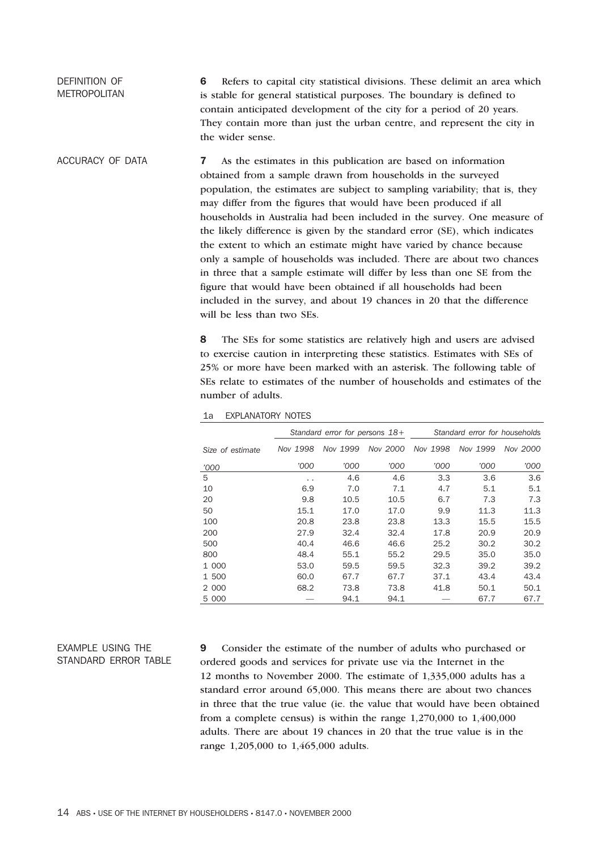#### DEFINITION OF METROPOLITAN 6 Refers to capital city statistical divisions. These delimit an area which is stable for general statistical purposes. The boundary is defined to contain anticipated development of the city for a period of 20 years. They contain more than just the urban centre, and represent the city in the wider sense.

ACCURACY OF DATA **7** As the estimates in this publication are based on information obtained from a sample drawn from households in the surveyed population, the estimates are subject to sampling variability; that is, they may differ from the figures that would have been produced if all households in Australia had been included in the survey. One measure of the likely difference is given by the standard error (SE), which indicates the extent to which an estimate might have varied by chance because only a sample of households was included. There are about two chances in three that a sample estimate will differ by less than one SE from the figure that would have been obtained if all households had been included in the survey, and about 19 chances in 20 that the difference will be less than two SEs.

> 8 The SEs for some statistics are relatively high and users are advised to exercise caution in interpreting these statistics. Estimates with SEs of 25% or more have been marked with an asterisk. The following table of SEs relate to estimates of the number of households and estimates of the number of adults.

|                  | Standard error for persons 18+ |          |          | Standard error for households |          |          |
|------------------|--------------------------------|----------|----------|-------------------------------|----------|----------|
| Size of estimate | Nov 1998                       | Nov 1999 | Nov 2000 | Nov 1998                      | Nov 1999 | Nov 2000 |
| '000             | '000                           | '000     | '000     | '000                          | '000     | '000     |
| 5                | . .                            | 4.6      | 4.6      | 3.3                           | 3.6      | 3.6      |
| 10               | 6.9                            | 7.0      | 7.1      | 4.7                           | 5.1      | 5.1      |
| 20               | 9.8                            | 10.5     | 10.5     | 6.7                           | 7.3      | 7.3      |
| 50               | 15.1                           | 17.0     | 17.0     | 9.9                           | 11.3     | 11.3     |
| 100              | 20.8                           | 23.8     | 23.8     | 13.3                          | 15.5     | 15.5     |
| 200              | 27.9                           | 32.4     | 32.4     | 17.8                          | 20.9     | 20.9     |
| 500              | 40.4                           | 46.6     | 46.6     | 25.2                          | 30.2     | 30.2     |
| 800              | 48.4                           | 55.1     | 55.2     | 29.5                          | 35.0     | 35.0     |
| 1 000            | 53.0                           | 59.5     | 59.5     | 32.3                          | 39.2     | 39.2     |
| 1 500            | 60.0                           | 67.7     | 67.7     | 37.1                          | 43.4     | 43.4     |
| 2 000            | 68.2                           | 73.8     | 73.8     | 41.8                          | 50.1     | 50.1     |
| 5 000            |                                | 94.1     | 94.1     |                               | 67.7     | 67.7     |

#### 1a EXPLANATORY NOTES

## EXAMPLE USING THE STANDARD ERROR TABLE

9 Consider the estimate of the number of adults who purchased or ordered goods and services for private use via the Internet in the 12 months to November 2000. The estimate of 1,335,000 adults has a standard error around 65,000. This means there are about two chances in three that the true value (ie. the value that would have been obtained from a complete census) is within the range 1,270,000 to 1,400,000 adults. There are about 19 chances in 20 that the true value is in the range 1,205,000 to 1,465,000 adults.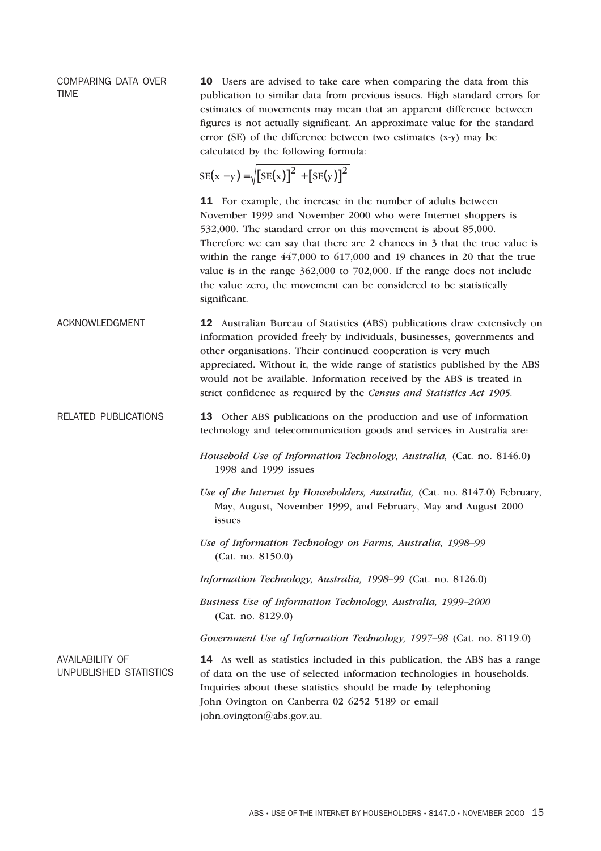COMPARING DATA OVER TIME

10 Users are advised to take care when comparing the data from this publication to similar data from previous issues. High standard errors for estimates of movements may mean that an apparent difference between figures is not actually significant. An approximate value for the standard error (SE) of the difference between two estimates (x-y) may be calculated by the following formula:

$$
SE(x - y) = \sqrt{[SE(x)]^{2} + [SE(y)]^{2}}
$$

11 For example, the increase in the number of adults between November 1999 and November 2000 who were Internet shoppers is 532,000. The standard error on this movement is about 85,000. Therefore we can say that there are 2 chances in 3 that the true value is within the range 447,000 to 617,000 and 19 chances in 20 that the true value is in the range 362,000 to 702,000. If the range does not include the value zero, the movement can be considered to be statistically significant.

ACKNOWLEDGMENT 12 Australian Bureau of Statistics (ABS) publications draw extensively on information provided freely by individuals, businesses, governments and other organisations. Their continued cooperation is very much appreciated. Without it, the wide range of statistics published by the ABS would not be available. Information received by the ABS is treated in strict confidence as required by the *Census and Statistics Act 1905.*

RELATED PUBLICATIONS 13 Other ABS publications on the production and use of information technology and telecommunication goods and services in Australia are:

> *Household Use of Information Technology, Australia,* (Cat. no. 8146.0) 1998 and 1999 issues

*Use of the Internet by Householders, Australia,* (Cat. no. 8147.0) February, May, August, November 1999, and February, May and August 2000 issues

*Use of Information Technology on Farms, Australia, 1998–99* (Cat. no. 8150.0)

*Information Technology, Australia, 1998–99* (Cat. no. 8126.0)

*Business Use of Information Technology, Australia, 1999–2000* (Cat. no. 8129.0)

*Government Use of Information Technology, 1997–98* (Cat. no. 8119.0)

AVAILABILITY OF UNPUBLISHED STATISTICS

14 As well as statistics included in this publication, the ABS has a range of data on the use of selected information technologies in households. Inquiries about these statistics should be made by telephoning John Ovington on Canberra 02 6252 5189 or email john.ovington@abs.gov.au.